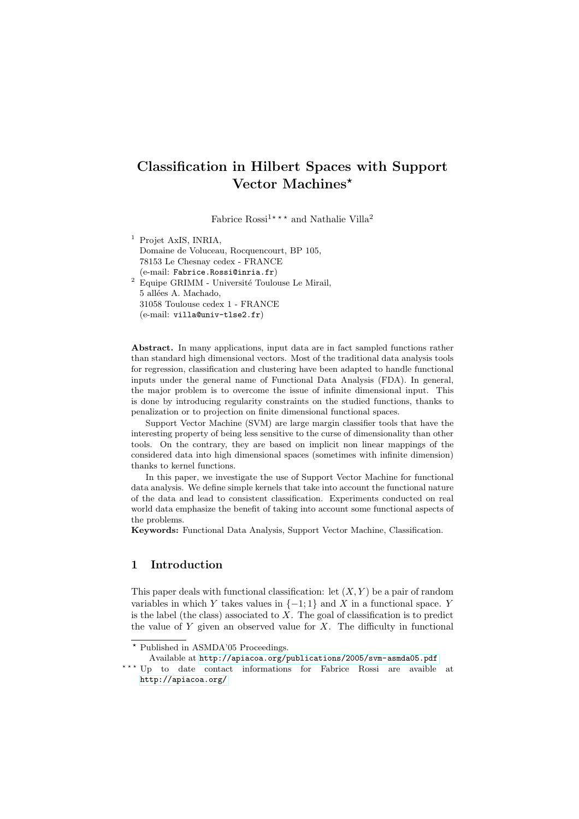# Classification in Hilbert Spaces with Support Vector Machines\*

Fabrice Rossi<sup>1\*\*\*</sup> and Nathalie Villa<sup>2</sup>

<sup>1</sup> Projet AxIS, INRIA, Domaine de Voluceau, Rocquencourt, BP 105, 78153 Le Chesnay cedex - FRANCE (e-mail: Fabrice.Rossi@inria.fr)  $^2$  Equipe GRIMM - Université Toulouse Le Mirail, 5 allées A. Machado, 31058 Toulouse cedex 1 - FRANCE (e-mail: villa@univ-tlse2.fr)

Abstract. In many applications, input data are in fact sampled functions rather than standard high dimensional vectors. Most of the traditional data analysis tools for regression, classification and clustering have been adapted to handle functional inputs under the general name of Functional Data Analysis (FDA). In general, the major problem is to overcome the issue of infinite dimensional input. This is done by introducing regularity constraints on the studied functions, thanks to penalization or to projection on finite dimensional functional spaces.

Support Vector Machine (SVM) are large margin classifier tools that have the interesting property of being less sensitive to the curse of dimensionality than other tools. On the contrary, they are based on implicit non linear mappings of the considered data into high dimensional spaces (sometimes with infinite dimension) thanks to kernel functions.

In this paper, we investigate the use of Support Vector Machine for functional data analysis. We define simple kernels that take into account the functional nature of the data and lead to consistent classification. Experiments conducted on real world data emphasize the benefit of taking into account some functional aspects of the problems.

Keywords: Functional Data Analysis, Support Vector Machine, Classification.

# 1 Introduction

This paper deals with functional classification: let  $(X, Y)$  be a pair of random variables in which Y takes values in  $\{-1, 1\}$  and X in a functional space. Y is the label (the class) associated to  $\hat{X}$ . The goal of classification is to predict the value of  $Y$  given an observed value for  $X$ . The difficulty in functional

Available at <http://apiacoa.org/publications/2005/svm-asmda05.pdf>

<sup>?</sup> Published in ASMDA'05 Proceedings.

<sup>\*\*\*</sup> Up to date contact informations for Fabrice Rossi are avaible at <http://apiacoa.org/>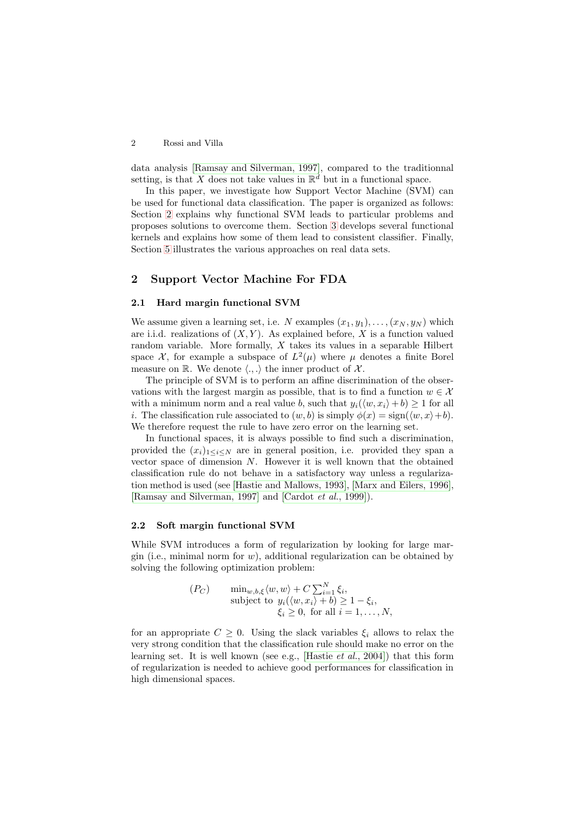data analysis [Ramsay and [Silverman,](#page-8-0) 1997], compared to the traditionnal setting, is that X does not take values in  $\mathbb{R}^d$  but in a functional space.

In this paper, we investigate how Support Vector Machine (SVM) can be used for functional data classification. The paper is organized as follows: Section [2](#page-1-0) explains why functional SVM leads to particular problems and proposes solutions to overcome them. Section [3](#page-2-0) develops several functional kernels and explains how some of them lead to consistent classifier. Finally, Section [5](#page-5-0) illustrates the various approaches on real data sets.

## <span id="page-1-0"></span>2 Support Vector Machine For FDA

## 2.1 Hard margin functional SVM

We assume given a learning set, i.e. N examples  $(x_1, y_1), \ldots, (x_N, y_N)$  which are i.i.d. realizations of  $(X, Y)$ . As explained before, X is a function valued random variable. More formally,  $X$  takes its values in a separable Hilbert space  $\mathcal{X}$ , for example a subspace of  $L^2(\mu)$  where  $\mu$  denotes a finite Borel measure on  $\mathbb R$ . We denote  $\langle ., . \rangle$  the inner product of  $\mathcal X$ .

The principle of SVM is to perform an affine discrimination of the observations with the largest margin as possible, that is to find a function  $w \in \mathcal{X}$ with a minimum norm and a real value b, such that  $y_i(\langle w, x_i \rangle + b) \geq 1$  for all i. The classification rule associated to  $(w, b)$  is simply  $\phi(x) = \text{sign}(\langle w, x \rangle + b)$ . We therefore request the rule to have zero error on the learning set.

In functional spaces, it is always possible to find such a discrimination, provided the  $(x_i)_{1\leq i\leq N}$  are in general position, i.e. provided they span a vector space of dimension  $N$ . However it is well known that the obtained classification rule do not behave in a satisfactory way unless a regularization method is used (see [Hastie and [Mallows,](#page-7-0) 1993], [Marx and [Eilers,](#page-8-1) 1996], [Ramsay and [Silverman,](#page-8-0) 1997] and [\[Cardot](#page-7-1) et al., 1999]).

## <span id="page-1-1"></span>2.2 Soft margin functional SVM

While SVM introduces a form of regularization by looking for large margin (i.e., minimal norm for  $w$ ), additional regularization can be obtained by solving the following optimization problem:

$$
(P_C) \qquad \min_{w,b,\xi} \langle w, w \rangle + C \sum_{i=1}^{N} \xi_i,
$$
  
subject to  $y_i(\langle w, x_i \rangle + b) \ge 1 - \xi_i,$   
 $\xi_i \ge 0$ , for all  $i = 1, ..., N$ ,

for an appropriate  $C \geq 0$ . Using the slack variables  $\xi_i$  allows to relax the very strong condition that the classification rule should make no error on the learning set. It is well known (see e.g., [\[Hastie](#page-7-2) et al., 2004]) that this form of regularization is needed to achieve good performances for classification in high dimensional spaces.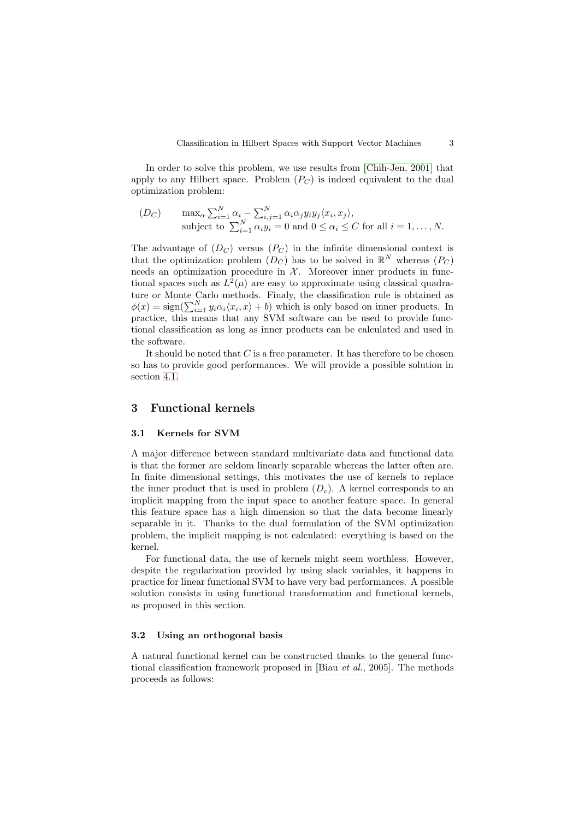In order to solve this problem, we use results from [\[Chih-Jen,](#page-7-3) 2001] that apply to any Hilbert space. Problem  $(P_C)$  is indeed equivalent to the dual optimization problem:

$$
(D_C) \qquad \max_{\alpha} \sum_{i=1}^{N} \alpha_i - \sum_{i,j=1}^{N} \alpha_i \alpha_j y_i y_j \langle x_i, x_j \rangle,
$$
  
subject to  $\sum_{i=1}^{N} \alpha_i y_i = 0$  and  $0 \le \alpha_i \le C$  for all  $i = 1, ..., N$ .

The advantage of  $(D_C)$  versus  $(P_C)$  in the infinite dimensional context is that the optimization problem  $(D_C)$  has to be solved in  $\mathbb{R}^N$  whereas  $(P_C)$ needs an optimization procedure in  $X$ . Moreover inner products in functional spaces such as  $L^2(\mu)$  are easy to approximate using classical quadrature or Monte Carlo methods. Finally, the classification rule is obtained as  $\phi(x) = \text{sign}(\sum_{i=1}^{N} y_i \alpha_i \langle x_i, x \rangle + b)$  which is only based on inner products. In practice, this means that any SVM software can be used to provide functional classification as long as inner products can be calculated and used in the software.

It should be noted that  $C$  is a free parameter. It has therefore to be chosen so has to provide good performances. We will provide a possible solution in section [4.1.](#page-3-0)

## <span id="page-2-0"></span>3 Functional kernels

#### 3.1 Kernels for SVM

A major difference between standard multivariate data and functional data is that the former are seldom linearly separable whereas the latter often are. In finite dimensional settings, this motivates the use of kernels to replace the inner product that is used in problem  $(D<sub>c</sub>)$ . A kernel corresponds to an implicit mapping from the input space to another feature space. In general this feature space has a high dimension so that the data become linearly separable in it. Thanks to the dual formulation of the SVM optimization problem, the implicit mapping is not calculated: everything is based on the kernel.

For functional data, the use of kernels might seem worthless. However, despite the regularization provided by using slack variables, it happens in practice for linear functional SVM to have very bad performances. A possible solution consists in using functional transformation and functional kernels, as proposed in this section.

#### <span id="page-2-1"></span>3.2 Using an orthogonal basis

A natural functional kernel can be constructed thanks to the general functional classification framework proposed in [\[Biau](#page-7-4) et al., 2005]. The methods proceeds as follows: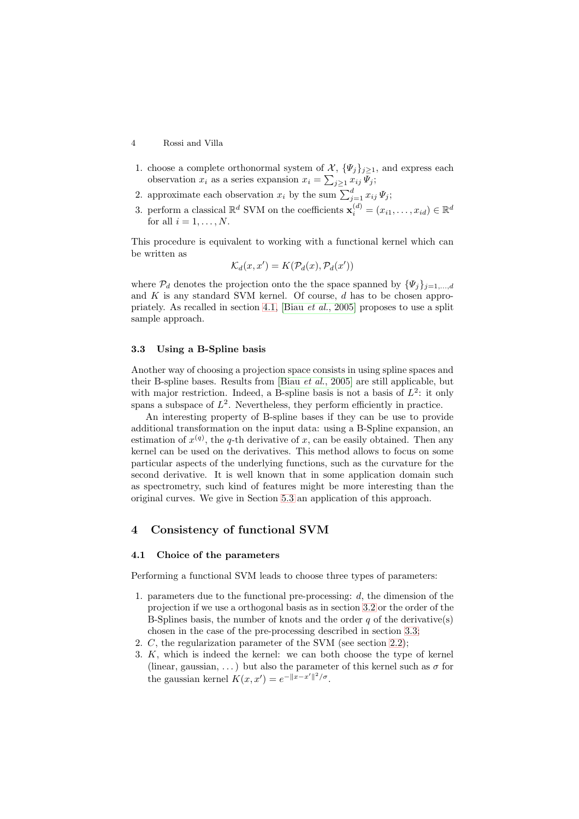- 1. choose a complete orthonormal system of  $\mathcal{X}, {\Psi_i}_{i>1}$ , and express each observation  $x_i$  as a series expansion  $x_i = \sum_{j\geq 1} x_{ij} \Psi_j;$
- 2. approximate each observation  $x_i$  by the sum  $\sum_{j=1}^d x_{ij} \Psi_j$ ;
- 3. perform a classical  $\mathbb{R}^d$  SVM on the coefficients  $\mathbf{x}_i^{(d)} = (x_{i1}, \dots, x_{id}) \in \mathbb{R}^d$ for all  $i = 1, \ldots, N$ .

This procedure is equivalent to working with a functional kernel which can be written as

$$
\mathcal{K}_d(x, x') = K(\mathcal{P}_d(x), \mathcal{P}_d(x'))
$$

where  $\mathcal{P}_d$  denotes the projection onto the the space spanned by  $\{\Psi_i\}_{i=1,\dots,d}$ and  $K$  is any standard SVM kernel. Of course,  $d$  has to be chosen appropriately. As recalled in section [4.1,](#page-3-0) [Biau et al., [2005\]](#page-7-4) proposes to use a split sample approach.

#### <span id="page-3-1"></span>3.3 Using a B-Spline basis

Another way of choosing a projection space consists in using spline spaces and their B-spline bases. Results from [\[Biau](#page-7-4) et al., 2005] are still applicable, but with major restriction. Indeed, a B-spline basis is not a basis of  $L^2$ : it only spans a subspace of  $L^2$ . Nevertheless, they perform efficiently in practice.

An interesting property of B-spline bases if they can be use to provide additional transformation on the input data: using a B-Spline expansion, an estimation of  $x^{(q)}$ , the q-th derivative of x, can be easily obtained. Then any kernel can be used on the derivatives. This method allows to focus on some particular aspects of the underlying functions, such as the curvature for the second derivative. It is well known that in some application domain such as spectrometry, such kind of features might be more interesting than the original curves. We give in Section [5.3](#page-6-0) an application of this approach.

# 4 Consistency of functional SVM

#### <span id="page-3-0"></span>4.1 Choice of the parameters

Performing a functional SVM leads to choose three types of parameters:

- 1. parameters due to the functional pre-processing: d, the dimension of the projection if we use a orthogonal basis as in section [3.2](#page-2-1) or the order of the B-Splines basis, the number of knots and the order  $q$  of the derivative(s) chosen in the case of the pre-processing described in section [3.3;](#page-3-1)
- 2. C, the regularization parameter of the SVM (see section [2.2\)](#page-1-1);
- 3. K, which is indeed the kernel: we can both choose the type of kernel (linear, gaussian, ...) but also the parameter of this kernel such as  $\sigma$  for the gaussian kernel  $K(x, x') = e^{-||x - x'||^2/\sigma}$ .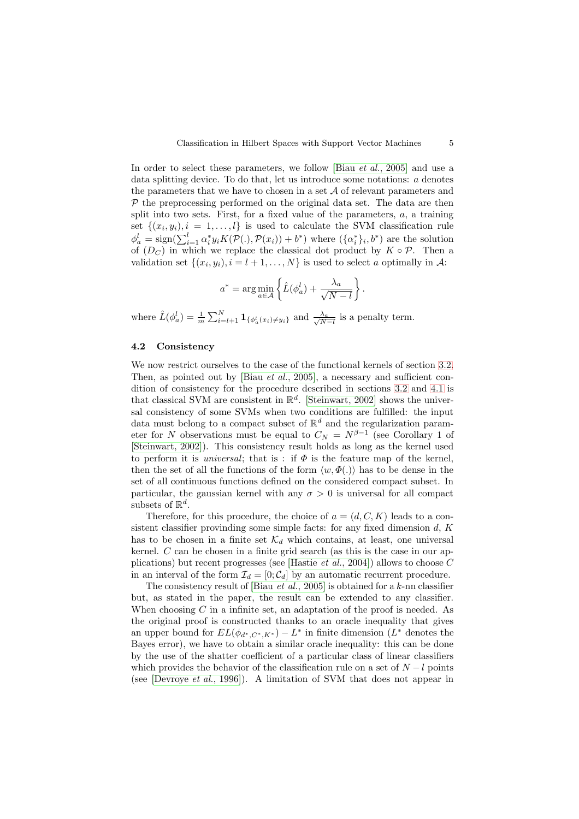In order to select these parameters, we follow [Biau *et al.*, [2005\]](#page-7-4) and use a data splitting device. To do that, let us introduce some notations:  $a$  denotes the parameters that we have to chosen in a set  $A$  of relevant parameters and  $P$  the preprocessing performed on the original data set. The data are then split into two sets. First, for a fixed value of the parameters,  $a$ , a training set  $\{(x_i, y_i), i = 1, \ldots, l\}$  is used to calculate the SVM classification rule  $\phi_a^l = \text{sign}(\sum_{i=1}^l \alpha_i^* y_i K(\mathcal{P}(.), \mathcal{P}(x_i)) + b^*)$  where  $(\{\alpha_i^*\}_i, b^*)$  are the solution of  $(D_C)$  in which we replace the classical dot product by  $K \circ \mathcal{P}$ . Then a validation set  $\{(x_i, y_i), i = l + 1, \ldots, N\}$  is used to select a optimally in A:

$$
a^* = \arg\min_{a \in \mathcal{A}} \left\{ \hat{L}(\phi_a^l) + \frac{\lambda_a}{\sqrt{N-l}} \right\}.
$$

where  $\hat{L}(\phi_a^l) = \frac{1}{m} \sum_{i=l+1}^N \mathbf{1}_{\{\phi_a^l(x_i) \neq y_i\}}$  and  $\frac{\lambda_a}{\sqrt{N}}$  $\frac{\lambda_a}{N-l}$  is a penalty term.

#### 4.2 Consistency

We now restrict ourselves to the case of the functional kernels of section [3.2.](#page-2-1) Then, as pointed out by [\[Biau](#page-7-4) et al., 2005], a necessary and sufficient condition of consistency for the procedure described in sections [3.2](#page-2-1) and [4.1](#page-3-0) is that classical SVM are consistent in  $\mathbb{R}^d$ . [\[Steinwart,](#page-8-2) 2002] shows the universal consistency of some SVMs when two conditions are fulfilled: the input data must belong to a compact subset of  $\mathbb{R}^d$  and the regularization parameter for N observations must be equal to  $C_N = N^{\beta-1}$  (see Corollary 1 of [\[Steinwart,](#page-8-2) 2002]). This consistency result holds as long as the kernel used to perform it is *universal*; that is : if  $\Phi$  is the feature map of the kernel, then the set of all the functions of the form  $\langle w, \Phi(.) \rangle$  has to be dense in the set of all continuous functions defined on the considered compact subset. In particular, the gaussian kernel with any  $\sigma > 0$  is universal for all compact subsets of  $\mathbb{R}^d$ .

Therefore, for this procedure, the choice of  $a = (d, C, K)$  leads to a consistent classifier provinding some simple facts: for any fixed dimension  $d$ ,  $K$ has to be chosen in a finite set  $\mathcal{K}_d$  which contains, at least, one universal kernel. C can be chosen in a finite grid search (as this is the case in our ap-plications) but recent progresses (see [\[Hastie](#page-7-2)  $et al., 2004$ ]) allows to choose  $C$ in an interval of the form  $\mathcal{I}_d = [0; \mathcal{C}_d]$  by an automatic recurrent procedure.

The consistency result of [\[Biau](#page-7-4) et al., 2005] is obtained for a k-nn classifier but, as stated in the paper, the result can be extended to any classifier. When choosing  $C$  in a infinite set, an adaptation of the proof is needed. As the original proof is constructed thanks to an oracle inequality that gives an upper bound for  $EL(\phi_{d^*,C^*,K^*}) - L^*$  in finite dimension  $(L^*$  denotes the Bayes error), we have to obtain a similar oracle inequality: this can be done by the use of the shatter coefficient of a particular class of linear classifiers which provides the behavior of the classification rule on a set of  $N - l$  points (see [\[Devroye](#page-7-5) et al., 1996]). A limitation of SVM that does not appear in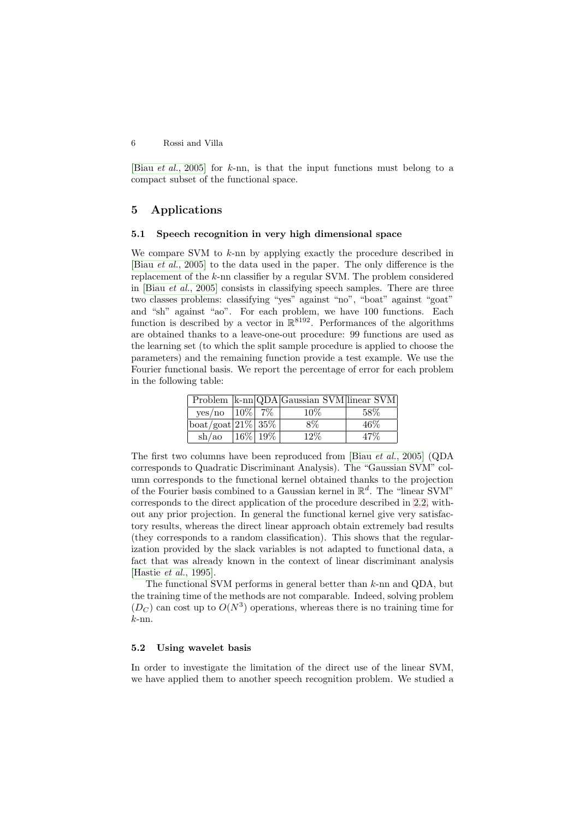[\[Biau](#page-7-4) et al., 2005] for k-nn, is that the input functions must belong to a compact subset of the functional space.

# <span id="page-5-0"></span>5 Applications

## 5.1 Speech recognition in very high dimensional space

We compare SVM to  $k$ -nn by applying exactly the procedure described in [\[Biau](#page-7-4) et al., 2005] to the data used in the paper. The only difference is the replacement of the k-nn classifier by a regular SVM. The problem considered in [\[Biau](#page-7-4) et al., 2005] consists in classifying speech samples. There are three two classes problems: classifying "yes" against "no", "boat" against "goat" and "sh" against "ao". For each problem, we have 100 functions. Each function is described by a vector in  $\mathbb{R}^{8192}$ . Performances of the algorithms are obtained thanks to a leave-one-out procedure: 99 functions are used as the learning set (to which the split sample procedure is applied to choose the parameters) and the remaining function provide a test example. We use the Fourier functional basis. We report the percentage of error for each problem in the following table:

|                                       |            | Problem  k-nn QDA Gaussian SVM linear SVM |      |
|---------------------------------------|------------|-------------------------------------------|------|
| yes/no   10%   $7\%$                  |            | $10\%$                                    | .58% |
| $\text{boat/goat}$ $\boxed{21\%}$ 35% |            | 8%                                        | 46%  |
| sh/ao                                 | $16\%$ 19% | 12%                                       |      |

The first two columns have been reproduced from [\[Biau](#page-7-4) et al., 2005] (QDA corresponds to Quadratic Discriminant Analysis). The "Gaussian SVM" column corresponds to the functional kernel obtained thanks to the projection of the Fourier basis combined to a Gaussian kernel in  $\mathbb{R}^d$ . The "linear SVM" corresponds to the direct application of the procedure described in [2.2,](#page-1-1) without any prior projection. In general the functional kernel give very satisfactory results, whereas the direct linear approach obtain extremely bad results (they corresponds to a random classification). This shows that the regularization provided by the slack variables is not adapted to functional data, a fact that was already known in the context of linear discriminant analysis [\[Hastie](#page-7-6) et al., 1995].

The functional SVM performs in general better than  $k$ -nn and ODA, but the training time of the methods are not comparable. Indeed, solving problem  $(D<sub>C</sub>)$  can cost up to  $O(N<sup>3</sup>)$  operations, whereas there is no training time for k-nn.

### 5.2 Using wavelet basis

In order to investigate the limitation of the direct use of the linear SVM, we have applied them to another speech recognition problem. We studied a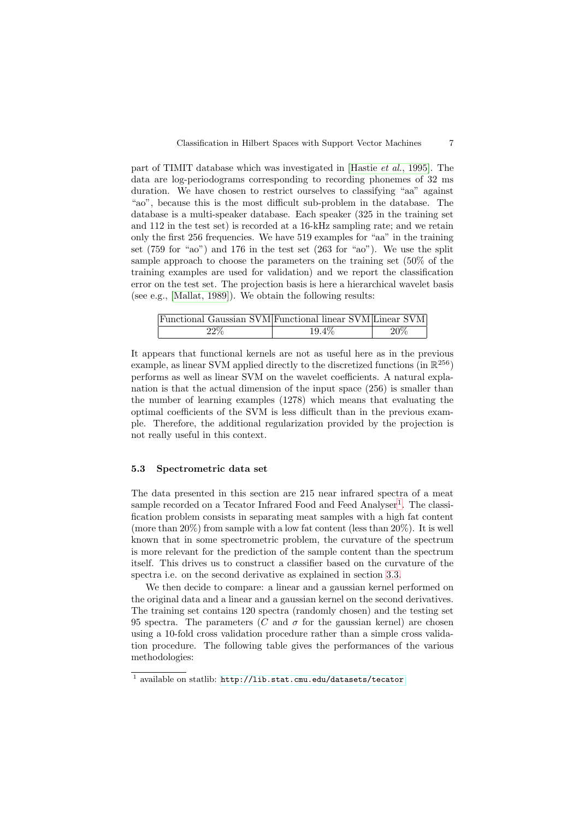part of TIMIT database which was investigated in [\[Hastie](#page-7-6) et al., 1995]. The data are log-periodograms corresponding to recording phonemes of 32 ms duration. We have chosen to restrict ourselves to classifying "aa" against "ao", because this is the most difficult sub-problem in the database. The database is a multi-speaker database. Each speaker (325 in the training set and 112 in the test set) is recorded at a 16-kHz sampling rate; and we retain only the first 256 frequencies. We have 519 examples for "aa" in the training set (759 for "ao") and 176 in the test set (263 for "ao"). We use the split sample approach to choose the parameters on the training set (50% of the training examples are used for validation) and we report the classification error on the test set. The projection basis is here a hierarchical wavelet basis (see e.g., [\[Mallat,](#page-7-7) 1989]). We obtain the following results:

| Functional Gaussian SVM Functional linear SVM Linear SVM |          |     |
|----------------------------------------------------------|----------|-----|
| $22\%$                                                   | $19.4\%$ | 20% |

It appears that functional kernels are not as useful here as in the previous example, as linear SVM applied directly to the discretized functions  $\overline{\text{ (in } \mathbb{R}^{256})}$ performs as well as linear SVM on the wavelet coefficients. A natural explanation is that the actual dimension of the input space (256) is smaller than the number of learning examples (1278) which means that evaluating the optimal coefficients of the SVM is less difficult than in the previous example. Therefore, the additional regularization provided by the projection is not really useful in this context.

#### <span id="page-6-0"></span>5.3 Spectrometric data set

The data presented in this section are 215 near infrared spectra of a meat sample recorded on a Tecator Infrared Food and Feed Analyser<sup>[1](#page-6-1)</sup>. The classification problem consists in separating meat samples with a high fat content (more than  $20\%$ ) from sample with a low fat content (less than  $20\%$ ). It is well known that in some spectrometric problem, the curvature of the spectrum is more relevant for the prediction of the sample content than the spectrum itself. This drives us to construct a classifier based on the curvature of the spectra i.e. on the second derivative as explained in section [3.3.](#page-3-1)

We then decide to compare: a linear and a gaussian kernel performed on the original data and a linear and a gaussian kernel on the second derivatives. The training set contains 120 spectra (randomly chosen) and the testing set 95 spectra. The parameters (C and  $\sigma$  for the gaussian kernel) are chosen using a 10-fold cross validation procedure rather than a simple cross validation procedure. The following table gives the performances of the various methodologies:

<span id="page-6-1"></span><sup>1</sup> available on statlib: <http://lib.stat.cmu.edu/datasets/tecator>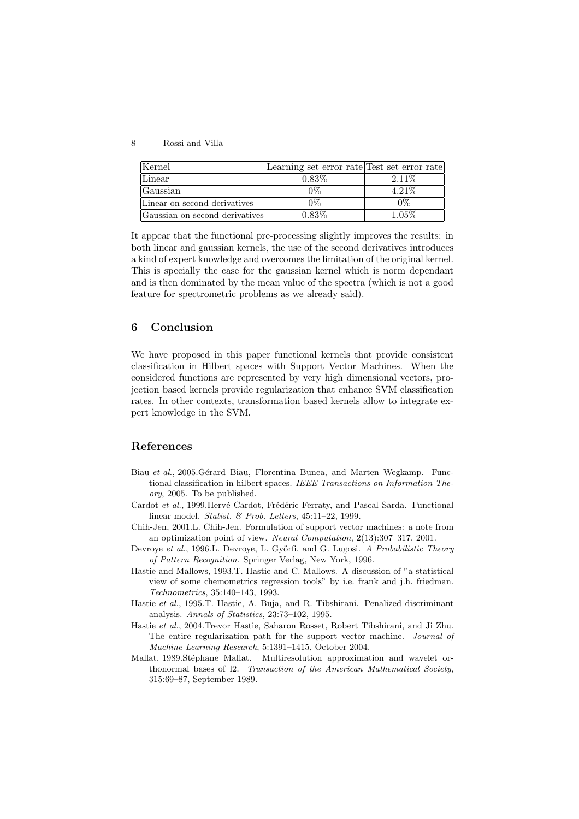| Kernel                         | Learning set error rate Test set error rate |          |
|--------------------------------|---------------------------------------------|----------|
| Linear                         | $0.83\%$                                    | 2.11\%   |
| Gaussian                       |                                             | $4.21\%$ |
| Linear on second derivatives   |                                             |          |
| Gaussian on second derivatives | 0.83%                                       | 1 05%    |

It appear that the functional pre-processing slightly improves the results: in both linear and gaussian kernels, the use of the second derivatives introduces a kind of expert knowledge and overcomes the limitation of the original kernel. This is specially the case for the gaussian kernel which is norm dependant and is then dominated by the mean value of the spectra (which is not a good feature for spectrometric problems as we already said).

# 6 Conclusion

We have proposed in this paper functional kernels that provide consistent classification in Hilbert spaces with Support Vector Machines. When the considered functions are represented by very high dimensional vectors, projection based kernels provide regularization that enhance SVM classification rates. In other contexts, transformation based kernels allow to integrate expert knowledge in the SVM.

# References

- <span id="page-7-4"></span>Biau et al., 2005. Gérard Biau, Florentina Bunea, and Marten Wegkamp. Functional classification in hilbert spaces. IEEE Transactions on Information Theory, 2005. To be published.
- <span id="page-7-1"></span>Cardot et al., 1999. Hervé Cardot, Frédéric Ferraty, and Pascal Sarda. Functional linear model. Statist. & Prob. Letters, 45:11–22, 1999.
- <span id="page-7-3"></span>Chih-Jen, 2001.L. Chih-Jen. Formulation of support vector machines: a note from an optimization point of view. Neural Computation, 2(13):307–317, 2001.
- <span id="page-7-5"></span>Devroye et al., 1996.L. Devroye, L. Györfi, and G. Lugosi. A Probabilistic Theory of Pattern Recognition. Springer Verlag, New York, 1996.
- <span id="page-7-0"></span>Hastie and Mallows, 1993.T. Hastie and C. Mallows. A discussion of "a statistical view of some chemometrics regression tools" by i.e. frank and j.h. friedman. Technometrics, 35:140–143, 1993.
- <span id="page-7-6"></span>Hastie et al., 1995.T. Hastie, A. Buja, and R. Tibshirani. Penalized discriminant analysis. Annals of Statistics, 23:73–102, 1995.
- <span id="page-7-2"></span>Hastie et al., 2004.Trevor Hastie, Saharon Rosset, Robert Tibshirani, and Ji Zhu. The entire regularization path for the support vector machine. Journal of Machine Learning Research, 5:1391–1415, October 2004.
- <span id="page-7-7"></span>Mallat, 1989. Stéphane Mallat. Multiresolution approximation and wavelet orthonormal bases of l2. Transaction of the American Mathematical Society, 315:69–87, September 1989.